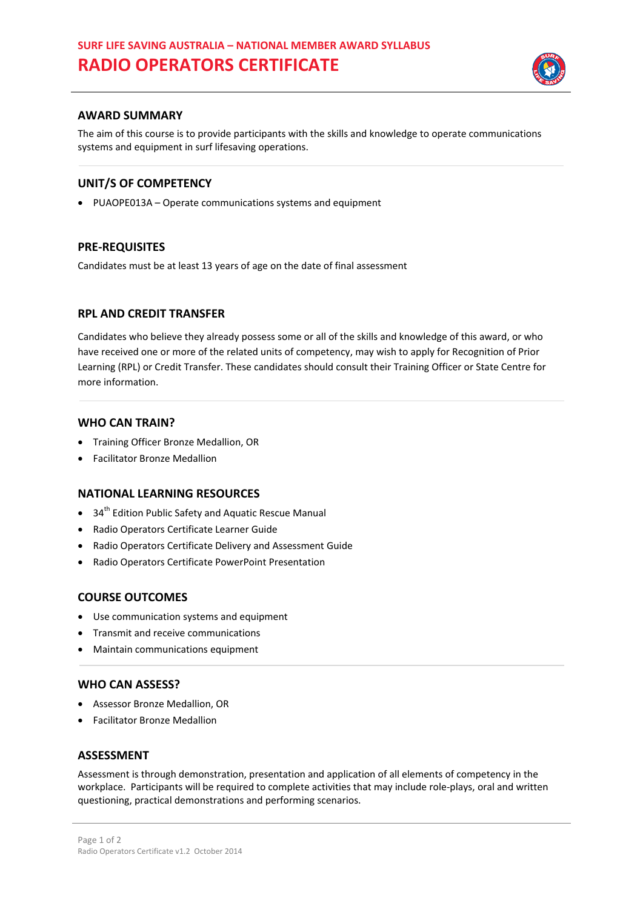

## **AWARD SUMMARY**

The aim of this course is to provide participants with the skills and knowledge to operate communications systems and equipment in surf lifesaving operations.

## **UNIT/S OF COMPETENCY**

PUAOPE013A – Operate communications systems and equipment

### **PRE-REQUISITES**

Candidates must be at least 13 years of age on the date of final assessment

### **RPL AND CREDIT TRANSFER**

Candidates who believe they already possess some or all of the skills and knowledge of this award, or who have received one or more of the related units of competency, may wish to apply for Recognition of Prior Learning (RPL) or Credit Transfer. These candidates should consult their Training Officer or State Centre for more information.

### **WHO CAN TRAIN?**

- Training Officer Bronze Medallion, OR
- Facilitator Bronze Medallion

## **NATIONAL LEARNING RESOURCES**

- $\bullet$  34<sup>th</sup> Edition Public Safety and Aquatic Rescue Manual
- Radio Operators Certificate Learner Guide
- Radio Operators Certificate Delivery and Assessment Guide
- Radio Operators Certificate PowerPoint Presentation

## **COURSE OUTCOMES**

- Use communication systems and equipment
- Transmit and receive communications
- Maintain communications equipment

#### **WHO CAN ASSESS?**

- Assessor Bronze Medallion, OR
- Facilitator Bronze Medallion

### **ASSESSMENT**

Assessment is through demonstration, presentation and application of all elements of competency in the workplace. Participants will be required to complete activities that may include role-plays, oral and written questioning, practical demonstrations and performing scenarios.